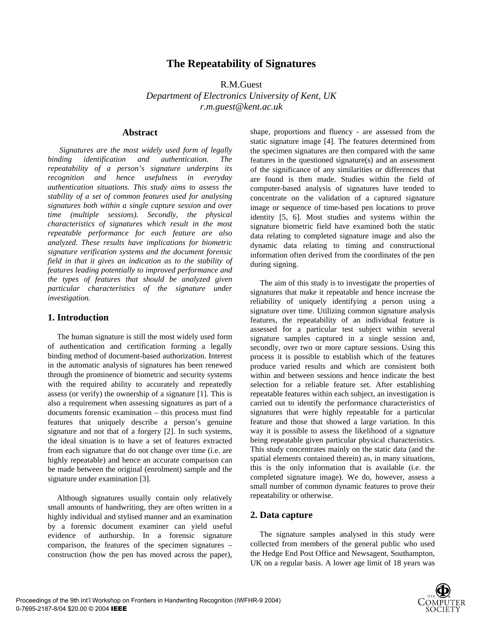# **The Repeatability of Signatures**

R.M.Guest

*Department of Electronics University of Kent, UK r.m.guest@kent.ac.uk*

### **Abstract**

*Signatures are the most widely used form of legally binding identification and authentication. The repeatability of a person's signature underpins its recognition and hence usefulness in everyday authentication situations. This study aims to assess the stability of a set of common features used for analysing signatures both within a single capture session and over time (multiple sessions). Secondly, the physical characteristics of signatures which result in the most repeatable performance for each feature are also analyzed. These results have implications for biometric signature verification systems and the document forensic field in that it gives an indication as to the stability of features leading potentially to improved performance and the types of features that should be analyzed given particular characteristics of the signature under investigation.* 

### **1. Introduction**

The human signature is still the most widely used form of authentication and certification forming a legally binding method of document-based authorization. Interest in the automatic analysis of signatures has been renewed through the prominence of biometric and security systems with the required ability to accurately and repeatedly assess (or verify) the ownership of a signature [1]. This is also a requirement when assessing signatures as part of a documents forensic examination – this process must find features that uniquely describe a person's genuine signature and not that of a forgery [2]. In such systems, the ideal situation is to have a set of features extracted from each signature that do not change over time (i.e. are highly repeatable) and hence an accurate comparison can be made between the original (enrolment) sample and the signature under examination [3].

Although signatures usually contain only relatively small amounts of handwriting, they are often written in a highly individual and stylised manner and an examination by a forensic document examiner can yield useful evidence of authorship. In a forensic signature comparison, the features of the specimen signatures – construction (how the pen has moved across the paper),

shape, proportions and fluency - are assessed from the static signature image [4]. The features determined from the specimen signatures are then compared with the same features in the questioned signature(s) and an assessment of the significance of any similarities or differences that are found is then made. Studies within the field of computer-based analysis of signatures have tended to concentrate on the validation of a captured signature image or sequence of time-based pen locations to prove identity [5, 6]. Most studies and systems within the signature biometric field have examined both the static data relating to completed signature image and also the dynamic data relating to timing and constructional information often derived from the coordinates of the pen during signing.

The aim of this study is to investigate the properties of signatures that make it repeatable and hence increase the reliability of uniquely identifying a person using a signature over time. Utilizing common signature analysis features, the repeatability of an individual feature is assessed for a particular test subject within several signature samples captured in a single session and, secondly, over two or more capture sessions. Using this process it is possible to establish which of the features produce varied results and which are consistent both within and between sessions and hence indicate the best selection for a reliable feature set. After establishing repeatable features within each subject, an investigation is carried out to identify the performance characteristics of signatures that were highly repeatable for a particular feature and those that showed a large variation. In this way it is possible to assess the likelihood of a signature being repeatable given particular physical characteristics. This study concentrates mainly on the static data (and the spatial elements contained therein) as, in many situations, this is the only information that is available (i.e. the completed signature image). We do, however, assess a small number of common dynamic features to prove their repeatability or otherwise.

## **2. Data capture**

The signature samples analysed in this study were collected from members of the general public who used the Hedge End Post Office and Newsagent, Southampton, UK on a regular basis. A lower age limit of 18 years was

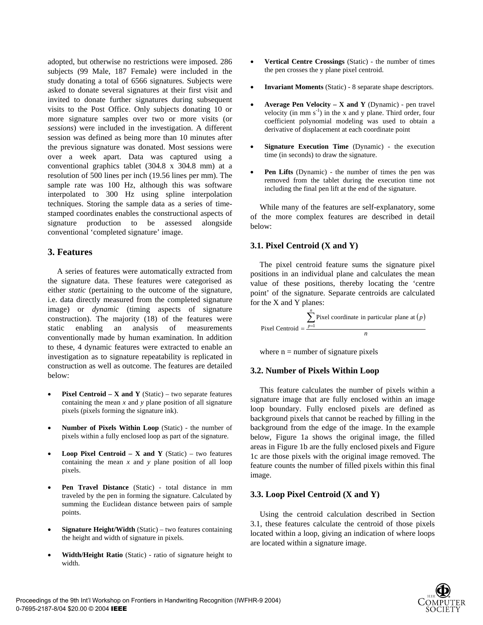adopted, but otherwise no restrictions were imposed. 286 subjects (99 Male, 187 Female) were included in the study donating a total of 6566 signatures. Subjects were asked to donate several signatures at their first visit and invited to donate further signatures during subsequent visits to the Post Office. Only subjects donating 10 or more signature samples over two or more visits (or *sessions*) were included in the investigation. A different session was defined as being more than 10 minutes after the previous signature was donated. Most sessions were over a week apart. Data was captured using a conventional graphics tablet (304.8 x 304.8 mm) at a resolution of 500 lines per inch (19.56 lines per mm). The sample rate was 100 Hz, although this was software interpolated to 300 Hz using spline interpolation techniques. Storing the sample data as a series of timestamped coordinates enables the constructional aspects of signature production to be assessed alongside conventional 'completed signature' image.

# **3. Features**

A series of features were automatically extracted from the signature data. These features were categorised as either *static* (pertaining to the outcome of the signature, i.e. data directly measured from the completed signature image) or *dynamic* (timing aspects of signature construction). The majority (18) of the features were static enabling an analysis of measurements conventionally made by human examination. In addition to these, 4 dynamic features were extracted to enable an investigation as to signature repeatability is replicated in construction as well as outcome. The features are detailed below:

- **Pixel Centroid X and Y** (Static) two separate features containing the mean *x* and *y* plane position of all signature pixels (pixels forming the signature ink).
- **Number of Pixels Within Loop** (Static) the number of pixels within a fully enclosed loop as part of the signature.
- **Loop Pixel Centroid X and Y** (Static) two features containing the mean *x* and *y* plane position of all loop pixels.
- **Pen Travel Distance** (Static) total distance in mm traveled by the pen in forming the signature. Calculated by summing the Euclidean distance between pairs of sample points.
- **Signature Height/Width** (Static) two features containing the height and width of signature in pixels.
- **Width/Height Ratio** (Static) ratio of signature height to width.
- **Vertical Centre Crossings** (Static) the number of times the pen crosses the y plane pixel centroid.
- **Invariant Moments** (Static) 8 separate shape descriptors.
- **Average Pen Velocity X and Y** (Dynamic) pen travel velocity (in mm  $s^{-1}$ ) in the x and y plane. Third order, four coefficient polynomial modeling was used to obtain a derivative of displacement at each coordinate point
- **Signature Execution Time** (Dynamic) the execution time (in seconds) to draw the signature.
- Pen Lifts (Dynamic) the number of times the pen was removed from the tablet during the execution time not including the final pen lift at the end of the signature.

While many of the features are self-explanatory, some of the more complex features are described in detail below:

## **3.1. Pixel Centroid (X and Y)**

The pixel centroid feature sums the signature pixel positions in an individual plane and calculates the mean value of these positions, thereby locating the 'centre point' of the signature. Separate centroids are calculated for the X and Y planes:

 $\sum_{n=1}^{\infty}$  Pixel coordinate in particular plane at  $(p)$ *n* Pixel Centroid  $=$   $\frac{\sum_{p=1}^{n} x^p}{\sum_{p=1}^{n} x^p}$ 

where  $n =$  number of signature pixels

### **3.2. Number of Pixels Within Loop**

This feature calculates the number of pixels within a signature image that are fully enclosed within an image loop boundary. Fully enclosed pixels are defined as background pixels that cannot be reached by filling in the background from the edge of the image. In the example below, Figure 1a shows the original image, the filled areas in Figure 1b are the fully enclosed pixels and Figure 1c are those pixels with the original image removed. The feature counts the number of filled pixels within this final image.

## **3.3. Loop Pixel Centroid (X and Y)**

Using the centroid calculation described in Section 3.1, these features calculate the centroid of those pixels located within a loop, giving an indication of where loops are located within a signature image.

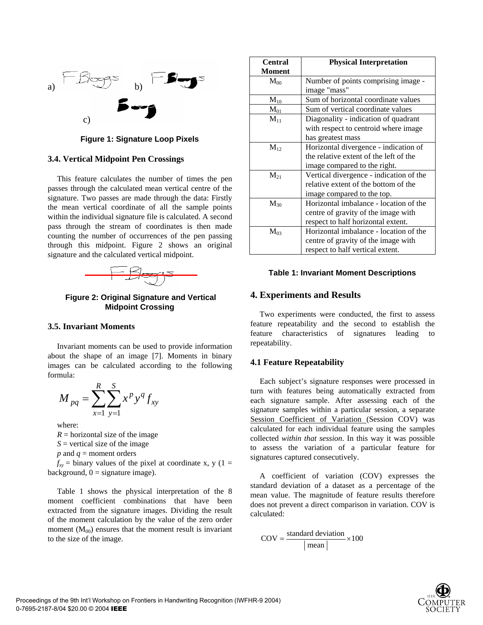

**Figure 1: Signature Loop Pixels** 

### **3.4. Vertical Midpoint Pen Crossings**

This feature calculates the number of times the pen passes through the calculated mean vertical centre of the signature. Two passes are made through the data: Firstly the mean vertical coordinate of all the sample points within the individual signature file is calculated. A second pass through the stream of coordinates is then made counting the number of occurrences of the pen passing through this midpoint. Figure 2 shows an original signature and the calculated vertical midpoint.



 **Figure 2: Original Signature and Vertical Midpoint Crossing** 

### **3.5. Invariant Moments**

Invariant moments can be used to provide information about the shape of an image [7]. Moments in binary images can be calculated according to the following formula:

$$
M_{pq} = \sum_{x=1}^{R} \sum_{y=1}^{S} x^{p} y^{q} f_{xy}
$$

where:

 $R =$  horizontal size of the image *S* = vertical size of the image *p* and *q* = moment orders

 $f_{xy}$  = binary values of the pixel at coordinate x, y (1 = background,  $0 =$  signature image).

Table 1 shows the physical interpretation of the 8 moment coefficient combinations that have been extracted from the signature images. Dividing the result of the moment calculation by the value of the zero order moment  $(M_{00})$  ensures that the moment result is invariant to the size of the image.

| <b>Central</b> | <b>Physical Interpretation</b>          |  |
|----------------|-----------------------------------------|--|
| <b>Moment</b>  |                                         |  |
| $M_{00}$       | Number of points comprising image -     |  |
|                | image "mass"                            |  |
| $M_{10}$       | Sum of horizontal coordinate values     |  |
| $\rm M_{01}$   | Sum of vertical coordinate values       |  |
| $M_{11}$       | Diagonality - indication of quadrant    |  |
|                | with respect to centroid where image    |  |
|                | has greatest mass                       |  |
| $M_{12}$       | Horizontal divergence - indication of   |  |
|                | the relative extent of the left of the  |  |
|                | image compared to the right.            |  |
| $M_{21}$       | Vertical divergence - indication of the |  |
|                | relative extent of the bottom of the    |  |
|                | image compared to the top.              |  |
| $M_{30}$       | Horizontal imbalance - location of the  |  |
|                | centre of gravity of the image with     |  |
|                | respect to half horizontal extent.      |  |
| $M_{03}$       | Horizontal imbalance - location of the  |  |
|                | centre of gravity of the image with     |  |
|                | respect to half vertical extent.        |  |

#### **Table 1: Invariant Moment Descriptions**

### **4. Experiments and Results**

Two experiments were conducted, the first to assess feature repeatability and the second to establish the feature characteristics of signatures leading to repeatability.

#### **4.1 Feature Repeatability**

Each subject's signature responses were processed in turn with features being automatically extracted from each signature sample. After assessing each of the signature samples within a particular session, a separate Session Coefficient of Variation (Session COV) was calculated for each individual feature using the samples collected *within that session*. In this way it was possible to assess the variation of a particular feature for signatures captured consecutively.

A coefficient of variation (COV) expresses the standard deviation of a dataset as a percentage of the mean value. The magnitude of feature results therefore does not prevent a direct comparison in variation. COV is calculated:

$$
COV = \frac{\text{standard deviation}}{|\text{mean}|} \times 100
$$

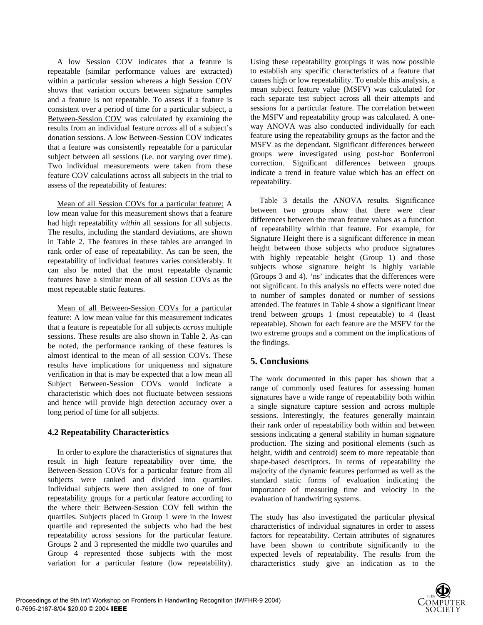A low Session COV indicates that a feature is repeatable (similar performance values are extracted) within a particular session whereas a high Session COV shows that variation occurs between signature samples and a feature is not repeatable. To assess if a feature is consistent over a period of time for a particular subject, a Between-Session COV was calculated by examining the results from an individual feature *across* all of a subject's donation sessions. A low Between-Session COV indicates that a feature was consistently repeatable for a particular subject between all sessions (i.e. not varying over time). Two individual measurements were taken from these feature COV calculations across all subjects in the trial to assess of the repeatability of features:

Mean of all Session COVs for a particular feature: A low mean value for this measurement shows that a feature had high repeatability *within* all sessions for all subjects. The results, including the standard deviations, are shown in Table 2. The features in these tables are arranged in rank order of ease of repeatability. As can be seen, the repeatability of individual features varies considerably. It can also be noted that the most repeatable dynamic features have a similar mean of all session COVs as the most repeatable static features.

Mean of all Between-Session COVs for a particular feature: A low mean value for this measurement indicates that a feature is repeatable for all subjects *across* multiple sessions. These results are also shown in Table 2. As can be noted, the performance ranking of these features is almost identical to the mean of all session COVs. These results have implications for uniqueness and signature verification in that is may be expected that a low mean all Subject Between-Session COVs would indicate a characteristic which does not fluctuate between sessions and hence will provide high detection accuracy over a long period of time for all subjects.

## **4.2 Repeatability Characteristics**

In order to explore the characteristics of signatures that result in high feature repeatability over time, the Between-Session COVs for a particular feature from all subjects were ranked and divided into quartiles. Individual subjects were then assigned to one of four repeatability groups for a particular feature according to the where their Between-Session COV fell within the quartiles. Subjects placed in Group 1 were in the lowest quartile and represented the subjects who had the best repeatability across sessions for the particular feature. Groups 2 and 3 represented the middle two quartiles and Group 4 represented those subjects with the most variation for a particular feature (low repeatability).

Using these repeatability groupings it was now possible to establish any specific characteristics of a feature that causes high or low repeatability. To enable this analysis, a mean subject feature value (MSFV) was calculated for each separate test subject across all their attempts and sessions for a particular feature. The correlation between the MSFV and repeatability group was calculated. A oneway ANOVA was also conducted individually for each feature using the repeatability groups as the factor and the MSFV as the dependant. Significant differences between groups were investigated using post-hoc Bonferroni correction. Significant differences between groups indicate a trend in feature value which has an effect on repeatability.

Table 3 details the ANOVA results. Significance between two groups show that there were clear differences between the mean feature values as a function of repeatability within that feature. For example, for Signature Height there is a significant difference in mean height between those subjects who produce signatures with highly repeatable height (Group 1) and those subjects whose signature height is highly variable (Groups 3 and 4). 'ns' indicates that the differences were not significant. In this analysis no effects were noted due to number of samples donated or number of sessions attended. The features in Table 4 show a significant linear trend between groups 1 (most repeatable) to 4 (least repeatable). Shown for each feature are the MSFV for the two extreme groups and a comment on the implications of the findings.

## **5. Conclusions**

The work documented in this paper has shown that a range of commonly used features for assessing human signatures have a wide range of repeatability both within a single signature capture session and across multiple sessions. Interestingly, the features generally maintain their rank order of repeatability both within and between sessions indicating a general stability in human signature production. The sizing and positional elements (such as height, width and centroid) seem to more repeatable than shape-based descriptors. In terms of repeatability the majority of the dynamic features performed as well as the standard static forms of evaluation indicating the importance of measuring time and velocity in the evaluation of handwriting systems.

The study has also investigated the particular physical characteristics of individual signatures in order to assess factors for repeatability. Certain attributes of signatures have been shown to contribute significantly to the expected levels of repeatability. The results from the characteristics study give an indication as to the

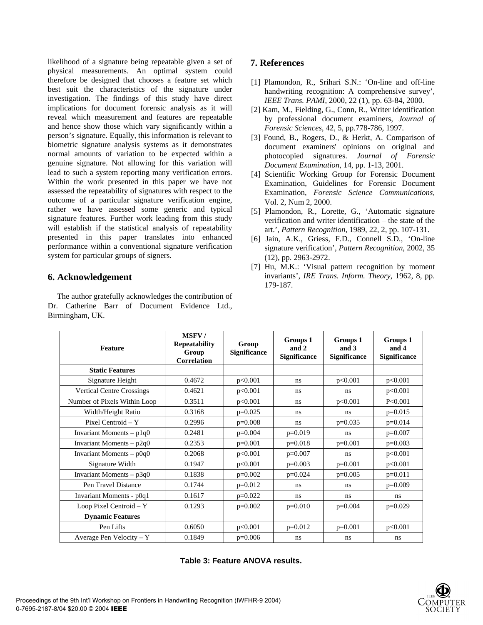likelihood of a signature being repeatable given a set of physical measurements. An optimal system could therefore be designed that chooses a feature set which best suit the characteristics of the signature under investigation. The findings of this study have direct implications for document forensic analysis as it will reveal which measurement and features are repeatable and hence show those which vary significantly within a person's signature. Equally, this information is relevant to biometric signature analysis systems as it demonstrates normal amounts of variation to be expected within a genuine signature. Not allowing for this variation will lead to such a system reporting many verification errors. Within the work presented in this paper we have not assessed the repeatability of signatures with respect to the outcome of a particular signature verification engine, rather we have assessed some generic and typical signature features. Further work leading from this study will establish if the statistical analysis of repeatability presented in this paper translates into enhanced performance within a conventional signature verification system for particular groups of signers.

## **6. Acknowledgement**

The author gratefully acknowledges the contribution of Dr. Catherine Barr of Document Evidence Ltd., Birmingham, UK.

# **7. References**

- [1] Plamondon, R., Srihari S.N.: 'On-line and off-line handwriting recognition: A comprehensive survey', *IEEE Trans. PAMI*, 2000, 22 (1), pp. 63-84, 2000.
- [2] Kam, M., Fielding, G., Conn, R., Writer identification by professional document examiners, *Journal of Forensic Sciences*, 42, 5, pp.778-786, 1997.
- [3] Found, B., Rogers, D., & Herkt, A. Comparison of document examiners' opinions on original and photocopied signatures. *Journal of Forensic Document Examination*, 14, pp. 1-13, 2001.
- [4] Scientific Working Group for Forensic Document Examination, Guidelines for Forensic Document Examination, *Forensic Science Communications*, Vol. 2, Num 2, 2000.
- [5] Plamondon, R., Lorette, G., 'Automatic signature verification and writer identification – the state of the art.', *Pattern Recognition*, 1989, 22, 2, pp. 107-131.
- [6] Jain, A.K., Griess, F.D., Connell S.D., 'On-line signature verification', *Pattern Recognition*, 2002, 35 (12), pp. 2963-2972.
- [7] Hu, M.K.: 'Visual pattern recognition by moment invariants', *IRE Trans. Inform. Theory*, 1962, 8, pp. 179-187.

| <b>Feature</b>                   | <b>MSFV/</b><br>Repeatability<br>Group<br><b>Correlation</b> | Group<br>Significance | Groups 1<br>and 2<br><b>Significance</b> | Groups 1<br>and 3<br><b>Significance</b> | Groups 1<br>and 4<br><b>Significance</b> |
|----------------------------------|--------------------------------------------------------------|-----------------------|------------------------------------------|------------------------------------------|------------------------------------------|
| <b>Static Features</b>           |                                                              |                       |                                          |                                          |                                          |
| Signature Height                 | 0.4672                                                       | p<0.001               | ns                                       | p<0.001                                  | p<0.001                                  |
| <b>Vertical Centre Crossings</b> | 0.4621                                                       | p<0.001               | ns                                       | ns                                       | p<0.001                                  |
| Number of Pixels Within Loop     | 0.3511                                                       | p<0.001               | ns                                       | p<0.001                                  | P < 0.001                                |
| Width/Height Ratio               | 0.3168                                                       | $p=0.025$             | ns                                       | ns                                       | $p=0.015$                                |
| Pixel Centroid - Y               | 0.2996                                                       | $p=0.008$             | ns                                       | $p=0.035$                                | $p=0.014$                                |
| Invariant Moments $- p1q0$       | 0.2481                                                       | $p=0.004$             | $p=0.019$                                | ns                                       | $p=0.007$                                |
| Invariant Moments $- p2q0$       | 0.2353                                                       | $p=0.001$             | $p=0.018$                                | $p=0.001$                                | $p=0.003$                                |
| Invariant Moments - p0q0         | 0.2068                                                       | p<0.001               | $p=0.007$                                | ns                                       | p<0.001                                  |
| Signature Width                  | 0.1947                                                       | p<0.001               | $p=0.003$                                | $p=0.001$                                | p<0.001                                  |
| Invariant Moments $ p3q0$        | 0.1838                                                       | $p=0.002$             | $p=0.024$                                | $p=0.005$                                | $p=0.011$                                |
| Pen Travel Distance              | 0.1744                                                       | $p=0.012$             | ns                                       | ns                                       | $p=0.009$                                |
| Invariant Moments - p0q1         | 0.1617                                                       | $p=0.022$             | ns                                       | ns                                       | ns                                       |
| Loop Pixel Centroid - Y          | 0.1293                                                       | $p=0.002$             | $p=0.010$                                | $p=0.004$                                | $p=0.029$                                |
| <b>Dynamic Features</b>          |                                                              |                       |                                          |                                          |                                          |
| Pen Lifts                        | 0.6050                                                       | p<0.001               | $p=0.012$                                | $p=0.001$                                | p<0.001                                  |
| Average Pen Velocity $- Y$       | 0.1849                                                       | $p=0.006$             | ns                                       | ns                                       | ns                                       |

**Table 3: Feature ANOVA results.**